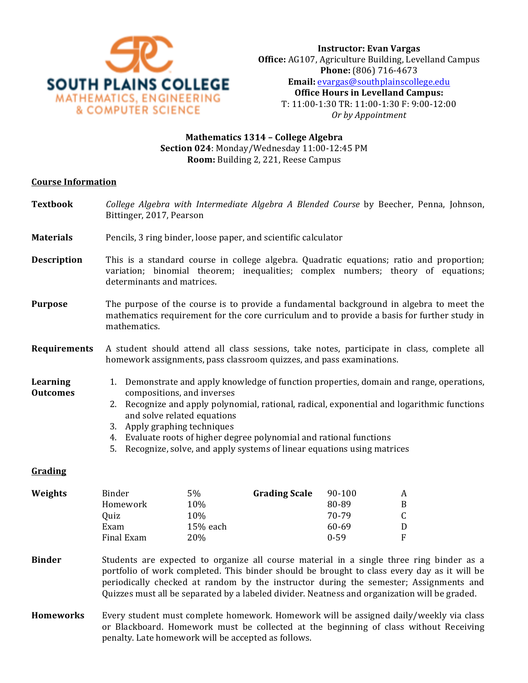

# **Mathematics 1314 – College Algebra Section 024**: Monday/Wednesday 11:00-12:45 PM **Room:** Building 2, 221, Reese Campus

#### **Course Information**

- **Textbook** *College Algebra with Intermediate Algebra A Blended Course* by Beecher, Penna, Johnson, Bittinger, 2017, Pearson
- **Materials** Pencils, 3 ring binder, loose paper, and scientific calculator
- **Description** This is a standard course in college algebra. Quadratic equations; ratio and proportion; variation; binomial theorem; inequalities; complex numbers; theory of equations; determinants and matrices.
- **Purpose** The purpose of the course is to provide a fundamental background in algebra to meet the mathematics requirement for the core curriculum and to provide a basis for further study in mathematics.
- **Requirements** A student should attend all class sessions, take notes, participate in class, complete all homework assignments, pass classroom quizzes, and pass examinations.
- Learning **Outcomes**
- 1. Demonstrate and apply knowledge of function properties, domain and range, operations, compositions, and inverses
- 2. Recognize and apply polynomial, rational, radical, exponential and logarithmic functions and solve related equations
- 3. Apply graphing techniques
- 4. Evaluate roots of higher degree polynomial and rational functions
- 5. Recognize, solve, and apply systems of linear equations using matrices

## **Grading**

| Weights | Binder     | 5%       | <b>Grading Scale</b> | 90-100   | A            |
|---------|------------|----------|----------------------|----------|--------------|
|         | Homework   | 10%      |                      | 80-89    | B            |
|         | Ouiz       | 10%      |                      | 70-79    |              |
|         | Exam       | 15% each |                      | 60-69    | D            |
|         | Final Exam | 20%      |                      | $0 - 59$ | $\mathbf{F}$ |
|         |            |          |                      |          |              |

- **Binder** Students are expected to organize all course material in a single three ring binder as a portfolio of work completed. This binder should be brought to class every day as it will be periodically checked at random by the instructor during the semester; Assignments and Quizzes must all be separated by a labeled divider. Neatness and organization will be graded.
- **Homeworks** Every student must complete homework. Homework will be assigned daily/weekly via class or Blackboard. Homework must be collected at the beginning of class without Receiving penalty. Late homework will be accepted as follows.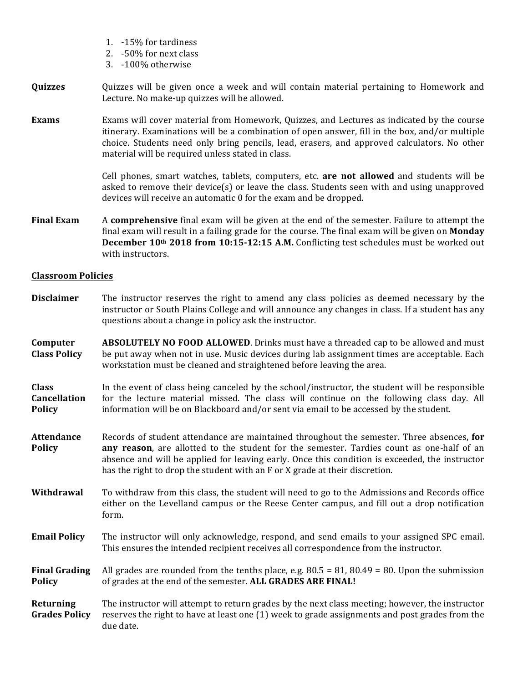- 1. -15% for tardiness
- 2. -50% for next class
- 3. -100% otherwise

## **Quizzes** Quizzes will be given once a week and will contain material pertaining to Homework and Lecture. No make-up quizzes will be allowed.

**Exams** Exams will cover material from Homework, Quizzes, and Lectures as indicated by the course itinerary. Examinations will be a combination of open answer, fill in the box, and/or multiple choice. Students need only bring pencils, lead, erasers, and approved calculators. No other material will be required unless stated in class.

> Cell phones, smart watches, tablets, computers, etc. **are not allowed** and students will be asked to remove their device(s) or leave the class. Students seen with and using unapproved devices will receive an automatic 0 for the exam and be dropped.

**Final Exam** A **comprehensive** final exam will be given at the end of the semester. Failure to attempt the final exam will result in a failing grade for the course. The final exam will be given on **Monday December 10th** 2018 from 10:15-12:15 A.M. Conflicting test schedules must be worked out with instructors.

## **Classroom Policies**

- **Disclaimer** The instructor reserves the right to amend any class policies as deemed necessary by the instructor or South Plains College and will announce any changes in class. If a student has any questions about a change in policy ask the instructor.
- **Computer Class Policy ABSOLUTELY NO FOOD ALLOWED**. Drinks must have a threaded cap to be allowed and must be put away when not in use. Music devices during lab assignment times are acceptable. Each workstation must be cleaned and straightened before leaving the area.

**Class Cancellation Policy** In the event of class being canceled by the school/instructor, the student will be responsible for the lecture material missed. The class will continue on the following class day. All information will be on Blackboard and/or sent via email to be accessed by the student.

- **Attendance Policy** Records of student attendance are maintained throughout the semester. Three absences, for **any reason**, are allotted to the student for the semester. Tardies count as one-half of an absence and will be applied for leaving early. Once this condition is exceeded, the instructor has the right to drop the student with an F or X grade at their discretion.
- **Withdrawal** To withdraw from this class, the student will need to go to the Admissions and Records office either on the Levelland campus or the Reese Center campus, and fill out a drop notification form.
- **Email Policy** The instructor will only acknowledge, respond, and send emails to your assigned SPC email. This ensures the intended recipient receives all correspondence from the instructor.

**Final Grading Policy** All grades are rounded from the tenths place, e.g.  $80.5 = 81$ ,  $80.49 = 80$ . Upon the submission of grades at the end of the semester. **ALL GRADES ARE FINAL!** 

**Returning Grades Policy** The instructor will attempt to return grades by the next class meeting; however, the instructor reserves the right to have at least one (1) week to grade assignments and post grades from the due date.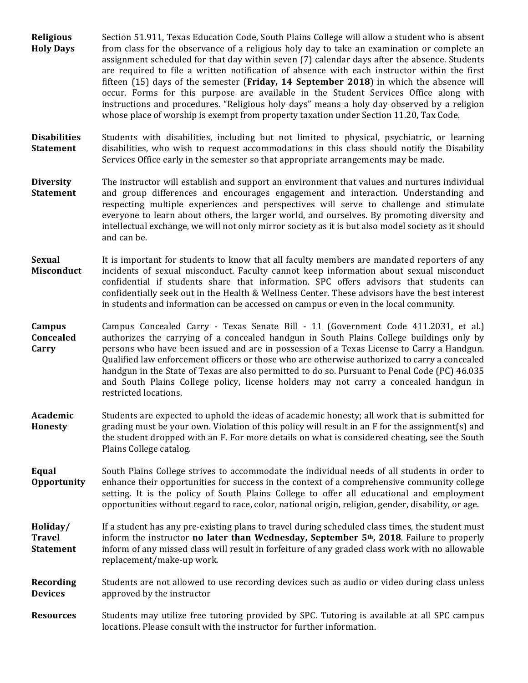- **Religious Holy Days**  Section 51.911, Texas Education Code, South Plains College will allow a student who is absent from class for the observance of a religious holy day to take an examination or complete an assignment scheduled for that day within seven (7) calendar days after the absence. Students are required to file a written notification of absence with each instructor within the first fifteen  $(15)$  days of the semester **(Friday, 14 September 2018)** in which the absence will occur. Forms for this purpose are available in the Student Services Office along with instructions and procedures. "Religious holy days" means a holy day observed by a religion whose place of worship is exempt from property taxation under Section 11.20, Tax Code.
- **Disabilities Statement** Students with disabilities, including but not limited to physical, psychiatric, or learning disabilities, who wish to request accommodations in this class should notify the Disability Services Office early in the semester so that appropriate arrangements may be made.
- **Diversity Statement** The instructor will establish and support an environment that values and nurtures individual and group differences and encourages engagement and interaction. Understanding and respecting multiple experiences and perspectives will serve to challenge and stimulate everyone to learn about others, the larger world, and ourselves. By promoting diversity and intellectual exchange, we will not only mirror society as it is but also model society as it should and can be.
- **Sexual Misconduct** It is important for students to know that all faculty members are mandated reporters of any incidents of sexual misconduct. Faculty cannot keep information about sexual misconduct confidential if students share that information. SPC offers advisors that students can confidentially seek out in the Health & Wellness Center. These advisors have the best interest in students and information can be accessed on campus or even in the local community.
- **Campus Concealed Carry** Campus Concealed Carry - Texas Senate Bill - 11 (Government Code 411.2031, et al.) authorizes the carrying of a concealed handgun in South Plains College buildings only by persons who have been issued and are in possession of a Texas License to Carry a Handgun. Qualified law enforcement officers or those who are otherwise authorized to carry a concealed handgun in the State of Texas are also permitted to do so. Pursuant to Penal Code (PC) 46.035 and South Plains College policy, license holders may not carry a concealed handgun in restricted locations.
- **Academic Honesty** Students are expected to uphold the ideas of academic honesty; all work that is submitted for grading must be your own. Violation of this policy will result in an  $F$  for the assignment(s) and the student dropped with an F. For more details on what is considered cheating, see the South Plains College catalog.
- **Equal Opportunity** South Plains College strives to accommodate the individual needs of all students in order to enhance their opportunities for success in the context of a comprehensive community college setting. It is the policy of South Plains College to offer all educational and employment opportunities without regard to race, color, national origin, religion, gender, disability, or age.

**Holiday/ Travel Statement** If a student has any pre-existing plans to travel during scheduled class times, the student must inform the instructor **no later than Wednesday, September 5<sup>th</sup>, 2018**. Failure to properly inform of any missed class will result in forfeiture of any graded class work with no allowable replacement/make-up work.

**Recording Devices** Students are not allowed to use recording devices such as audio or video during class unless approved by the instructor

**Resources** Students may utilize free tutoring provided by SPC. Tutoring is available at all SPC campus locations. Please consult with the instructor for further information.